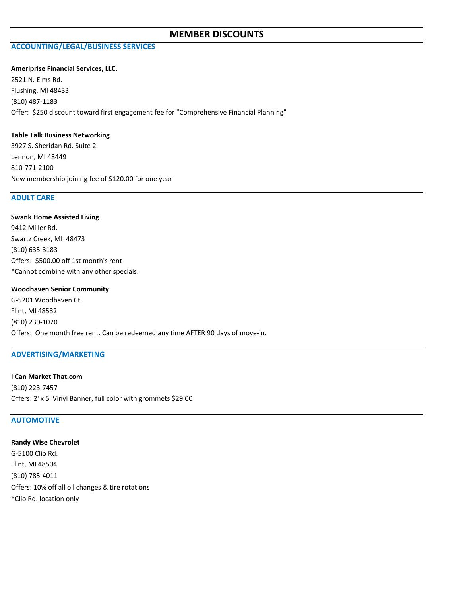## **MEMBER DISCOUNTS**

# **ACCOUNTING/LEGAL/BUSINESS SERVICES**

#### **Ameriprise Financial Services, LLC.**

2521 N. Elms Rd. Flushing, MI 48433 (810) 487-1183 Offer: \$250 discount toward first engagement fee for "Comprehensive Financial Planning"

### **Table Talk Business Networking**

3927 S. Sheridan Rd. Suite 2 Lennon, MI 48449 810-771-2100 New membership joining fee of \$120.00 for one year

### **ADULT CARE**

## **Swank Home Assisted Living**

9412 Miller Rd. Swartz Creek, MI 48473 (810) 635-3183 Offers: \$500.00 off 1st month's rent \*Cannot combine with any other specials.

#### **Woodhaven Senior Community**

G-5201 Woodhaven Ct. Flint, MI 48532 (810) 230-1070 Offers: One month free rent. Can be redeemed any time AFTER 90 days of move-in.

## **ADVERTISING/MARKETING**

**I Can Market That.com** (810) 223-7457 Offers: 2' x 5' Vinyl Banner, full color with grommets \$29.00

## **AUTOMOTIVE**

**Randy Wise Chevrolet** G-5100 Clio Rd. Flint, MI 48504 (810) 785-4011 Offers: 10% off all oil changes & tire rotations \*Clio Rd. location only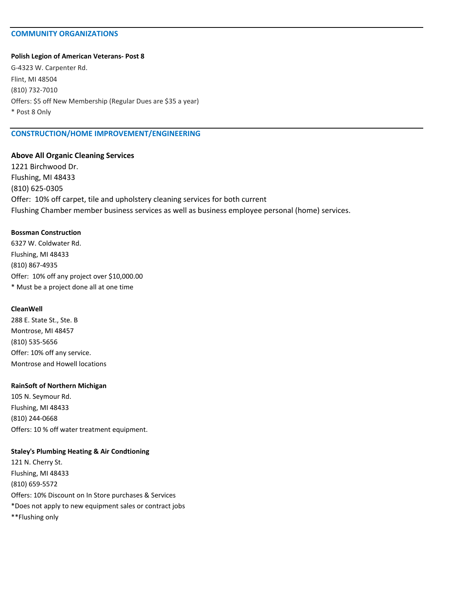## **COMMUNITY ORGANIZATIONS**

### **Polish Legion of American Veterans- Post 8**

G-4323 W. Carpenter Rd. Flint, MI 48504 (810) 732-7010 Offers: \$5 off New Membership (Regular Dues are \$35 a year) \* Post 8 Only

## **CONSTRUCTION/HOME IMPROVEMENT/ENGINEERING**

## **Above All Organic Cleaning Services**

1221 Birchwood Dr. Flushing, MI 48433 (810) 625-0305 Offer: 10% off carpet, tile and upholstery cleaning services for both current Flushing Chamber member business services as well as business employee personal (home) services.

## **Bossman Construction**

6327 W. Coldwater Rd. Flushing, MI 48433 (810) 867-4935 Offer: 10% off any project over \$10,000.00 \* Must be a project done all at one time

## **CleanWell**

288 E. State St., Ste. B Montrose, MI 48457 (810) 535-5656 Offer: 10% off any service. Montrose and Howell locations

### **RainSoft of Northern Michigan**

105 N. Seymour Rd. Flushing, MI 48433 (810) 244-0668 Offers: 10 % off water treatment equipment.

### **Staley's Plumbing Heating & Air Condtioning**

121 N. Cherry St. Flushing, MI 48433 (810) 659-5572 Offers: 10% Discount on In Store purchases & Services \*Does not apply to new equipment sales or contract jobs \*\*Flushing only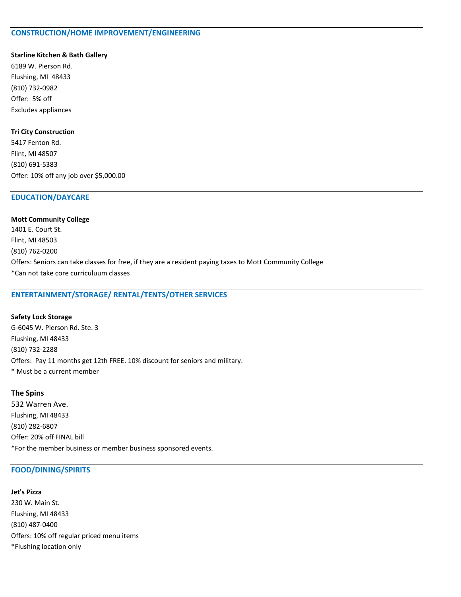## **CONSTRUCTION/HOME IMPROVEMENT/ENGINEERING**

#### **Starline Kitchen & Bath Gallery**

6189 W. Pierson Rd. Flushing, MI 48433 (810) 732-0982 Offer: 5% off Excludes appliances

## **Tri City Construction**

5417 Fenton Rd. Flint, MI 48507 (810) 691-5383 Offer: 10% off any job over \$5,000.00

## **EDUCATION/DAYCARE**

# **Mott Community College** 1401 E. Court St. Flint, MI 48503 (810) 762-0200

Offers: Seniors can take classes for free, if they are a resident paying taxes to Mott Community College \*Can not take core curriculuum classes

## **ENTERTAINMENT/STORAGE/ RENTAL/TENTS/OTHER SERVICES**

#### **Safety Lock Storage**

G-6045 W. Pierson Rd. Ste. 3 Flushing, MI 48433 (810) 732-2288 Offers: Pay 11 months get 12th FREE. 10% discount for seniors and military. \* Must be a current member

## **The Spins**

532 Warren Ave. Flushing, MI 48433 (810) 282-6807 Offer: 20% off FINAL bill \*For the member business or member business sponsored events.

## **FOOD/DINING/SPIRITS**

# **Jet's Pizza** 230 W. Main St. Flushing, MI 48433 (810) 487-0400 Offers: 10% off regular priced menu items \*Flushing location only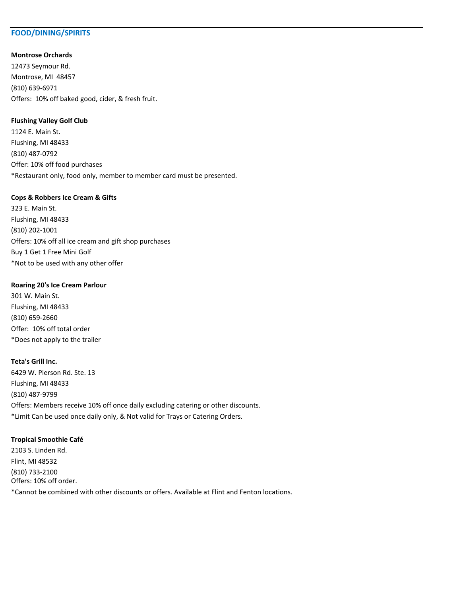## **FOOD/DINING/SPIRITS**

## **Montrose Orchards**

12473 Seymour Rd. Montrose, MI 48457 (810) 639-6971 Offers: 10% off baked good, cider, & fresh fruit.

## **Flushing Valley Golf Club**

1124 E. Main St. Flushing, MI 48433 (810) 487-0792 Offer: 10% off food purchases \*Restaurant only, food only, member to member card must be presented.

#### **Cops & Robbers Ice Cream & Gifts**

323 E. Main St. Flushing, MI 48433 (810) 202-1001 Offers: 10% off all ice cream and gift shop purchases Buy 1 Get 1 Free Mini Golf \*Not to be used with any other offer

### **Roaring 20's Ice Cream Parlour**

301 W. Main St. Flushing, MI 48433 (810) 659-2660 Offer: 10% off total order \*Does not apply to the trailer

### **Teta's Grill Inc.**

6429 W. Pierson Rd. Ste. 13 Flushing, MI 48433 (810) 487-9799 Offers: Members receive 10% off once daily excluding catering or other discounts. \*Limit Can be used once daily only, & Not valid for Trays or Catering Orders.

## **Tropical Smoothie Café**

2103 S. Linden Rd. Flint, MI 48532 (810) 733-2100 Offers: 10% off order. \*Cannot be combined with other discounts or offers. Available at Flint and Fenton locations.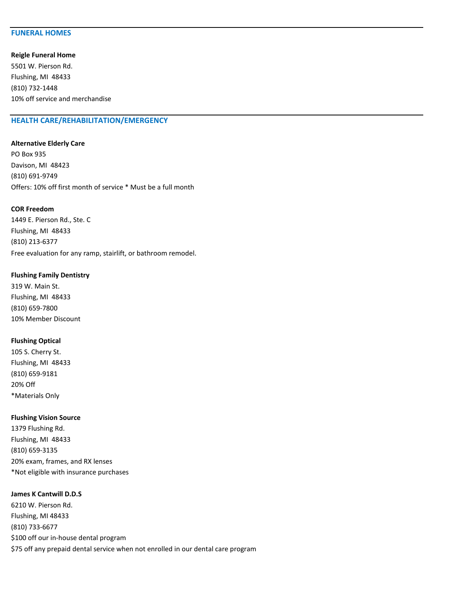## **FUNERAL HOMES**

**Reigle Funeral Home**

5501 W. Pierson Rd. Flushing, MI 48433 (810) 732-1448 10% off service and merchandise

## **HEALTH CARE/REHABILITATION/EMERGENCY**

#### **Alternative Elderly Care**

PO Box 935 Davison, MI 48423 (810) 691-9749 Offers: 10% off first month of service \* Must be a full month

#### **COR Freedom**

1449 E. Pierson Rd., Ste. C Flushing, MI 48433 (810) 213-6377 Free evaluation for any ramp, stairlift, or bathroom remodel.

### **Flushing Family Dentistry**

319 W. Main St. Flushing, MI 48433 (810) 659-7800 10% Member Discount

## **Flushing Optical**

105 S. Cherry St. Flushing, MI 48433 (810) 659-9181 20% Off \*Materials Only

#### **Flushing Vision Source**

1379 Flushing Rd. Flushing, MI 48433 (810) 659-3135 20% exam, frames, and RX lenses \*Not eligible with insurance purchases

## **James K Cantwill D.D.S**

6210 W. Pierson Rd. Flushing, MI 48433 (810) 733-6677 \$100 off our in-house dental program \$75 off any prepaid dental service when not enrolled in our dental care program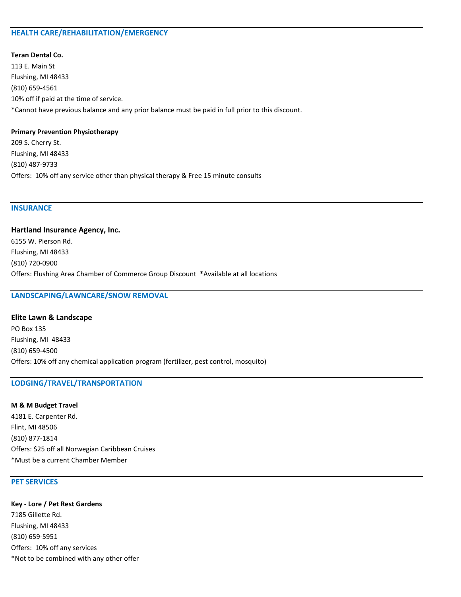## **HEALTH CARE/REHABILITATION/EMERGENCY**

## **Teran Dental Co.**

113 E. Main St Flushing, MI 48433 (810) 659-4561 10% off if paid at the time of service. \*Cannot have previous balance and any prior balance must be paid in full prior to this discount.

### **Primary Prevention Physiotherapy**

209 S. Cherry St. Flushing, MI 48433 (810) 487-9733 Offers: 10% off any service other than physical therapy & Free 15 minute consults

## **INSURANCE**

**Hartland Insurance Agency, Inc.** 6155 W. Pierson Rd. Flushing, MI 48433 (810) 720-0900 Offers: Flushing Area Chamber of Commerce Group Discount \*Available at all locations

## **LANDSCAPING/LAWNCARE/SNOW REMOVAL**

**Elite Lawn & Landscape** PO Box 135 Flushing, MI 48433 (810) 659-4500 Offers: 10% off any chemical application program (fertilizer, pest control, mosquito)

## **LODGING/TRAVEL/TRANSPORTATION**

**M & M Budget Travel** 4181 E. Carpenter Rd. Flint, MI 48506 (810) 877-1814 Offers: \$25 off all Norwegian Caribbean Cruises \*Must be a current Chamber Member

## **PET SERVICES**

**Key - Lore / Pet Rest Gardens** 7185 Gillette Rd. Flushing, MI 48433 (810) 659-5951 Offers: 10% off any services \*Not to be combined with any other offer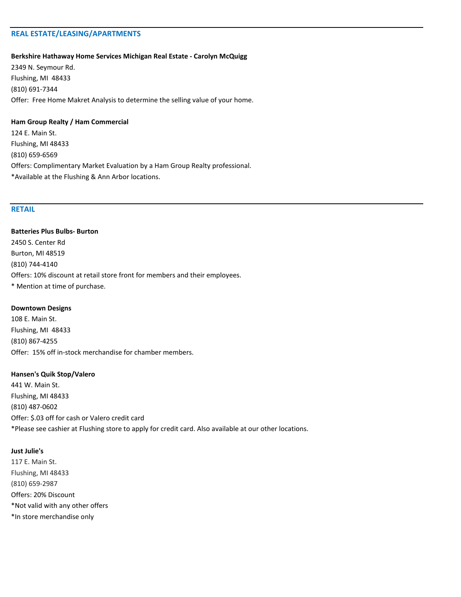## **REAL ESTATE/LEASING/APARTMENTS**

#### **Berkshire Hathaway Home Services Michigan Real Estate - Carolyn McQuigg**

2349 N. Seymour Rd. Flushing, MI 48433 (810) 691-7344 Offer: Free Home Makret Analysis to determine the selling value of your home.

## **Ham Group Realty / Ham Commercial**

124 E. Main St. Flushing, MI 48433 (810) 659-6569 Offers: Complimentary Market Evaluation by a Ham Group Realty professional. \*Available at the Flushing & Ann Arbor locations.

## **RETAIL**

**Batteries Plus Bulbs- Burton** 2450 S. Center Rd Burton, MI 48519 (810) 744-4140 Offers: 10% discount at retail store front for members and their employees. \* Mention at time of purchase.

#### **Downtown Designs**

108 E. Main St. Flushing, MI 48433 (810) 867-4255 Offer: 15% off in-stock merchandise for chamber members.

#### **Hansen's Quik Stop/Valero**

441 W. Main St. Flushing, MI 48433 (810) 487-0602 Offer: \$.03 off for cash or Valero credit card \*Please see cashier at Flushing store to apply for credit card. Also available at our other locations.

#### **Just Julie's**

117 E. Main St. Flushing, MI 48433 (810) 659-2987 Offers: 20% Discount \*Not valid with any other offers \*In store merchandise only